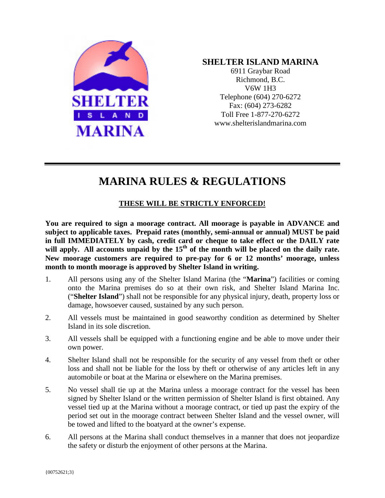

## **SHELTER ISLAND MARINA**

6911 Graybar Road Richmond, B.C. V6W 1H3 Telephone (604) 270-6272 Fax: (604) 273-6282 Toll Free 1-877-270-6272 www.shelterislandmarina.com

## **MARINA RULES & REGULATIONS**

## **THESE WILL BE STRICTLY ENFORCED!**

**You are required to sign a moorage contract. All moorage is payable in ADVANCE and subject to applicable taxes. Prepaid rates (monthly, semi-annual or annual) MUST be paid in full IMMEDIATELY by cash, credit card or cheque to take effect or the DAILY rate**  will apply. All accounts unpaid by the 15<sup>th</sup> of the month will be placed on the daily rate. **New moorage customers are required to pre-pay for 6 or 12 months' moorage, unless month to month moorage is approved by Shelter Island in writing.**

- 1. All persons using any of the Shelter Island Marina (the "**Marina**") facilities or coming onto the Marina premises do so at their own risk, and Shelter Island Marina Inc. ("**Shelter Island**") shall not be responsible for any physical injury, death, property loss or damage, howsoever caused, sustained by any such person.
- 2. All vessels must be maintained in good seaworthy condition as determined by Shelter Island in its sole discretion.
- 3. All vessels shall be equipped with a functioning engine and be able to move under their own power.
- 4. Shelter Island shall not be responsible for the security of any vessel from theft or other loss and shall not be liable for the loss by theft or otherwise of any articles left in any automobile or boat at the Marina or elsewhere on the Marina premises.
- 5. No vessel shall tie up at the Marina unless a moorage contract for the vessel has been signed by Shelter Island or the written permission of Shelter Island is first obtained. Any vessel tied up at the Marina without a moorage contract, or tied up past the expiry of the period set out in the moorage contract between Shelter Island and the vessel owner, will be towed and lifted to the boatyard at the owner's expense.
- 6. All persons at the Marina shall conduct themselves in a manner that does not jeopardize the safety or disturb the enjoyment of other persons at the Marina.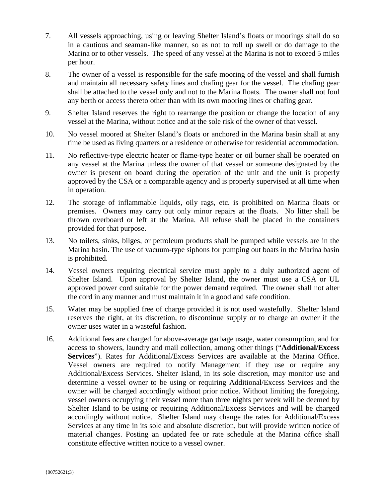- 7. All vessels approaching, using or leaving Shelter Island's floats or moorings shall do so in a cautious and seaman-like manner, so as not to roll up swell or do damage to the Marina or to other vessels. The speed of any vessel at the Marina is not to exceed 5 miles per hour.
- 8. The owner of a vessel is responsible for the safe mooring of the vessel and shall furnish and maintain all necessary safety lines and chafing gear for the vessel. The chafing gear shall be attached to the vessel only and not to the Marina floats. The owner shall not foul any berth or access thereto other than with its own mooring lines or chafing gear.
- 9. Shelter Island reserves the right to rearrange the position or change the location of any vessel at the Marina, without notice and at the sole risk of the owner of that vessel.
- 10. No vessel moored at Shelter Island's floats or anchored in the Marina basin shall at any time be used as living quarters or a residence or otherwise for residential accommodation.
- 11. No reflective-type electric heater or flame-type heater or oil burner shall be operated on any vessel at the Marina unless the owner of that vessel or someone designated by the owner is present on board during the operation of the unit and the unit is properly approved by the CSA or a comparable agency and is properly supervised at all time when in operation.
- 12. The storage of inflammable liquids, oily rags, etc. is prohibited on Marina floats or premises. Owners may carry out only minor repairs at the floats. No litter shall be thrown overboard or left at the Marina. All refuse shall be placed in the containers provided for that purpose.
- 13. No toilets, sinks, bilges, or petroleum products shall be pumped while vessels are in the Marina basin. The use of vacuum-type siphons for pumping out boats in the Marina basin is prohibited.
- 14. Vessel owners requiring electrical service must apply to a duly authorized agent of Shelter Island. Upon approval by Shelter Island, the owner must use a CSA or UL approved power cord suitable for the power demand required. The owner shall not alter the cord in any manner and must maintain it in a good and safe condition.
- 15. Water may be supplied free of charge provided it is not used wastefully. Shelter Island reserves the right, at its discretion, to discontinue supply or to charge an owner if the owner uses water in a wasteful fashion.
- 16. Additional fees are charged for above-average garbage usage, water consumption, and for access to showers, laundry and mail collection, among other things ("**Additional/Excess Services**"). Rates for Additional/Excess Services are available at the Marina Office. Vessel owners are required to notify Management if they use or require any Additional/Excess Services. Shelter Island, in its sole discretion, may monitor use and determine a vessel owner to be using or requiring Additional/Excess Services and the owner will be charged accordingly without prior notice. Without limiting the foregoing, vessel owners occupying their vessel more than three nights per week will be deemed by Shelter Island to be using or requiring Additional/Excess Services and will be charged accordingly without notice. Shelter Island may change the rates for Additional/Excess Services at any time in its sole and absolute discretion, but will provide written notice of material changes. Posting an updated fee or rate schedule at the Marina office shall constitute effective written notice to a vessel owner.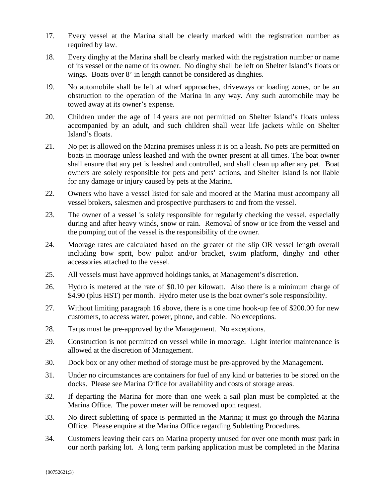- 17. Every vessel at the Marina shall be clearly marked with the registration number as required by law.
- 18. Every dinghy at the Marina shall be clearly marked with the registration number or name of its vessel or the name of its owner. No dinghy shall be left on Shelter Island's floats or wings. Boats over 8' in length cannot be considered as dinghies.
- 19. No automobile shall be left at wharf approaches, driveways or loading zones, or be an obstruction to the operation of the Marina in any way. Any such automobile may be towed away at its owner's expense.
- 20. Children under the age of 14 years are not permitted on Shelter Island's floats unless accompanied by an adult, and such children shall wear life jackets while on Shelter Island's floats.
- 21. No pet is allowed on the Marina premises unless it is on a leash. No pets are permitted on boats in moorage unless leashed and with the owner present at all times. The boat owner shall ensure that any pet is leashed and controlled, and shall clean up after any pet. Boat owners are solely responsible for pets and pets' actions, and Shelter Island is not liable for any damage or injury caused by pets at the Marina.
- 22. Owners who have a vessel listed for sale and moored at the Marina must accompany all vessel brokers, salesmen and prospective purchasers to and from the vessel.
- 23. The owner of a vessel is solely responsible for regularly checking the vessel, especially during and after heavy winds, snow or rain. Removal of snow or ice from the vessel and the pumping out of the vessel is the responsibility of the owner.
- 24. Moorage rates are calculated based on the greater of the slip OR vessel length overall including bow sprit, bow pulpit and/or bracket, swim platform, dinghy and other accessories attached to the vessel.
- 25. All vessels must have approved holdings tanks, at Management's discretion.
- 26. Hydro is metered at the rate of \$0.10 per kilowatt. Also there is a minimum charge of \$4.90 (plus HST) per month. Hydro meter use is the boat owner's sole responsibility.
- 27. Without limiting paragraph 16 above, there is a one time hook-up fee of \$200.00 for new customers, to access water, power, phone, and cable. No exceptions.
- 28. Tarps must be pre-approved by the Management. No exceptions.
- 29. Construction is not permitted on vessel while in moorage. Light interior maintenance is allowed at the discretion of Management.
- 30. Dock box or any other method of storage must be pre-approved by the Management.
- 31. Under no circumstances are containers for fuel of any kind or batteries to be stored on the docks. Please see Marina Office for availability and costs of storage areas.
- 32. If departing the Marina for more than one week a sail plan must be completed at the Marina Office. The power meter will be removed upon request.
- 33. No direct subletting of space is permitted in the Marina; it must go through the Marina Office. Please enquire at the Marina Office regarding Subletting Procedures.
- 34. Customers leaving their cars on Marina property unused for over one month must park in our north parking lot. A long term parking application must be completed in the Marina